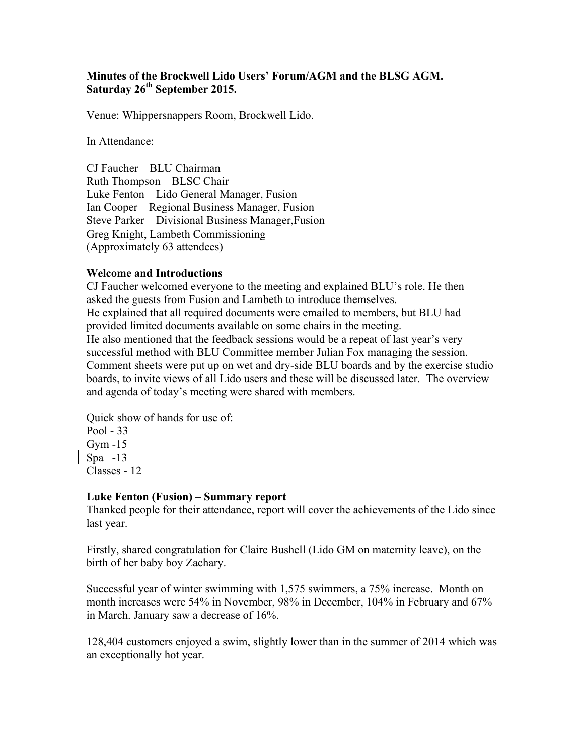#### **Minutes of the Brockwell Lido Users' Forum/AGM and the BLSG AGM. Saturday 26th September 2015.**

Venue: Whippersnappers Room, Brockwell Lido.

In Attendance:

CJ Faucher – BLU Chairman Ruth Thompson – BLSC Chair Luke Fenton – Lido General Manager, Fusion Ian Cooper – Regional Business Manager, Fusion Steve Parker – Divisional Business Manager,Fusion Greg Knight, Lambeth Commissioning (Approximately 63 attendees)

#### **Welcome and Introductions**

CJ Faucher welcomed everyone to the meeting and explained BLU's role. He then asked the guests from Fusion and Lambeth to introduce themselves. He explained that all required documents were emailed to members, but BLU had provided limited documents available on some chairs in the meeting. He also mentioned that the feedback sessions would be a repeat of last year's very successful method with BLU Committee member Julian Fox managing the session. Comment sheets were put up on wet and dry-side BLU boards and by the exercise studio boards, to invite views of all Lido users and these will be discussed later. The overview and agenda of today's meeting were shared with members.

Quick show of hands for use of: Pool - 33 Gym -15 Spa -13 Classes - 12

#### **Luke Fenton (Fusion) – Summary report**

Thanked people for their attendance, report will cover the achievements of the Lido since last year.

Firstly, shared congratulation for Claire Bushell (Lido GM on maternity leave), on the birth of her baby boy Zachary.

Successful year of winter swimming with 1,575 swimmers, a 75% increase. Month on month increases were 54% in November, 98% in December, 104% in February and 67% in March. January saw a decrease of 16%.

128,404 customers enjoyed a swim, slightly lower than in the summer of 2014 which was an exceptionally hot year.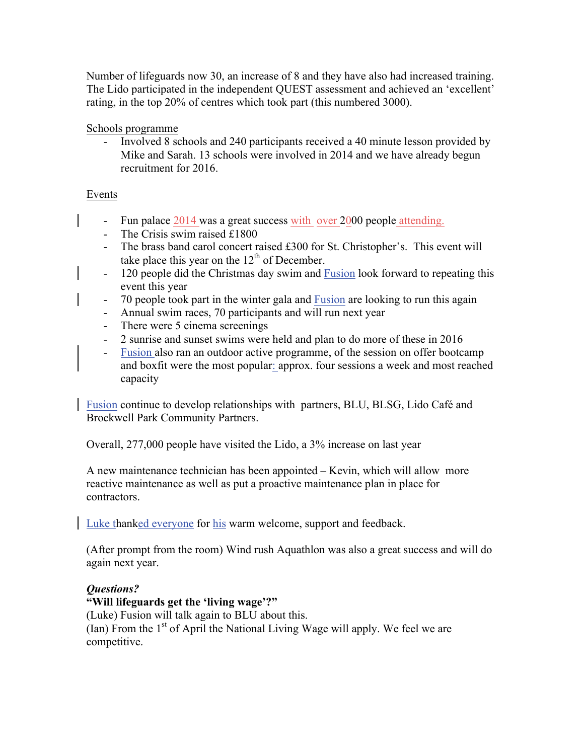Number of lifeguards now 30, an increase of 8 and they have also had increased training. The Lido participated in the independent QUEST assessment and achieved an 'excellent' rating, in the top 20% of centres which took part (this numbered 3000).

Schools programme

- Involved 8 schools and 240 participants received a 40 minute lesson provided by Mike and Sarah. 13 schools were involved in 2014 and we have already begun recruitment for 2016.

## Events

- Fun palace 2014 was a great success with over 2000 people attending.
- The Crisis swim raised £1800
- The brass band carol concert raised £300 for St. Christopher's. This event will take place this year on the  $12<sup>th</sup>$  of December.
- 120 people did the Christmas day swim and Fusion look forward to repeating this event this year
- 70 people took part in the winter gala and Fusion are looking to run this again
- Annual swim races, 70 participants and will run next year
- There were 5 cinema screenings
- 2 sunrise and sunset swims were held and plan to do more of these in 2016
- Fusion also ran an outdoor active programme, of the session on offer bootcamp and boxfit were the most popular: approx. four sessions a week and most reached capacity

Fusion continue to develop relationships with partners, BLU, BLSG, Lido Café and Brockwell Park Community Partners.

Overall, 277,000 people have visited the Lido, a 3% increase on last year

A new maintenance technician has been appointed – Kevin, which will allow more reactive maintenance as well as put a proactive maintenance plan in place for contractors.

Luke thanked everyone for his warm welcome, support and feedback.

(After prompt from the room) Wind rush Aquathlon was also a great success and will do again next year.

## *Questions?*

#### **"Will lifeguards get the 'living wage'?"**

(Luke) Fusion will talk again to BLU about this. (Ian) From the  $1<sup>st</sup>$  of April the National Living Wage will apply. We feel we are competitive.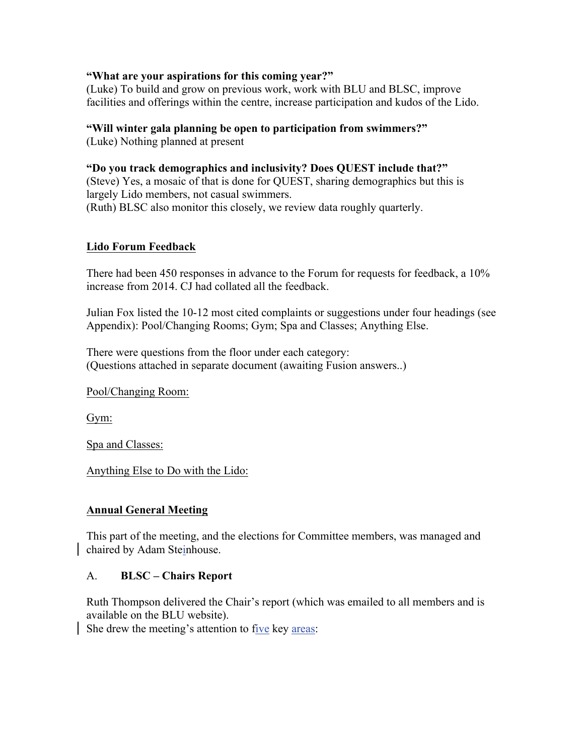#### **"What are your aspirations for this coming year?"**

(Luke) To build and grow on previous work, work with BLU and BLSC, improve facilities and offerings within the centre, increase participation and kudos of the Lido.

#### **"Will winter gala planning be open to participation from swimmers?"**

(Luke) Nothing planned at present

### **"Do you track demographics and inclusivity? Does QUEST include that?"**

(Steve) Yes, a mosaic of that is done for QUEST, sharing demographics but this is largely Lido members, not casual swimmers. (Ruth) BLSC also monitor this closely, we review data roughly quarterly.

### **Lido Forum Feedback**

There had been 450 responses in advance to the Forum for requests for feedback, a 10% increase from 2014. CJ had collated all the feedback.

Julian Fox listed the 10-12 most cited complaints or suggestions under four headings (see Appendix): Pool/Changing Rooms; Gym; Spa and Classes; Anything Else.

There were questions from the floor under each category: (Questions attached in separate document (awaiting Fusion answers..)

Pool/Changing Room:

Gym:

Spa and Classes:

Anything Else to Do with the Lido:

## **Annual General Meeting**

This part of the meeting, and the elections for Committee members, was managed and chaired by Adam Steinhouse.

## A. **BLSC – Chairs Report**

Ruth Thompson delivered the Chair's report (which was emailed to all members and is available on the BLU website).

She drew the meeting's attention to five key areas: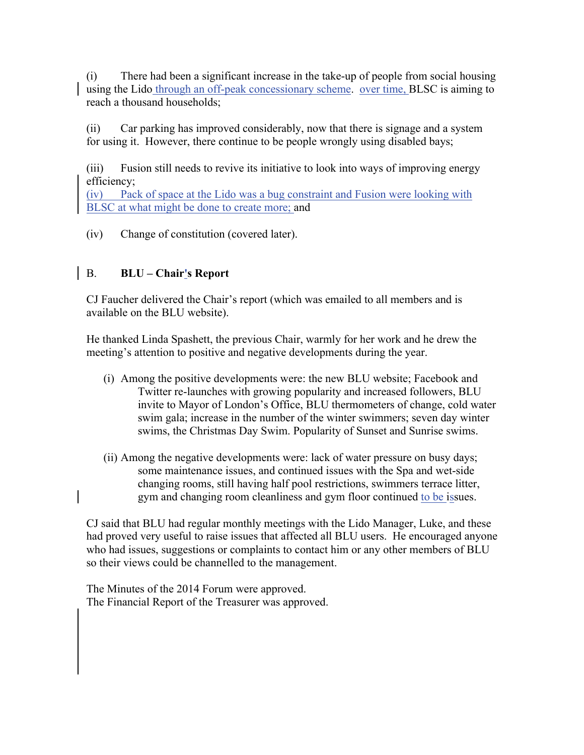(i) There had been a significant increase in the take-up of people from social housing using the Lido through an off-peak concessionary scheme. over time, BLSC is aiming to reach a thousand households;

(ii) Car parking has improved considerably, now that there is signage and a system for using it. However, there continue to be people wrongly using disabled bays;

(iii) Fusion still needs to revive its initiative to look into ways of improving energy efficiency;

(iv) Pack of space at the Lido was a bug constraint and Fusion were looking with BLSC at what might be done to create more; and

(iv) Change of constitution (covered later).

# B. **BLU – Chair's Report**

CJ Faucher delivered the Chair's report (which was emailed to all members and is available on the BLU website).

He thanked Linda Spashett, the previous Chair, warmly for her work and he drew the meeting's attention to positive and negative developments during the year.

- (i) Among the positive developments were: the new BLU website; Facebook and Twitter re-launches with growing popularity and increased followers, BLU invite to Mayor of London's Office, BLU thermometers of change, cold water swim gala; increase in the number of the winter swimmers; seven day winter swims, the Christmas Day Swim. Popularity of Sunset and Sunrise swims.
- (ii) Among the negative developments were: lack of water pressure on busy days; some maintenance issues, and continued issues with the Spa and wet-side changing rooms, still having half pool restrictions, swimmers terrace litter, gym and changing room cleanliness and gym floor continued to be issues.

CJ said that BLU had regular monthly meetings with the Lido Manager, Luke, and these had proved very useful to raise issues that affected all BLU users. He encouraged anyone who had issues, suggestions or complaints to contact him or any other members of BLU so their views could be channelled to the management.

The Minutes of the 2014 Forum were approved. The Financial Report of the Treasurer was approved.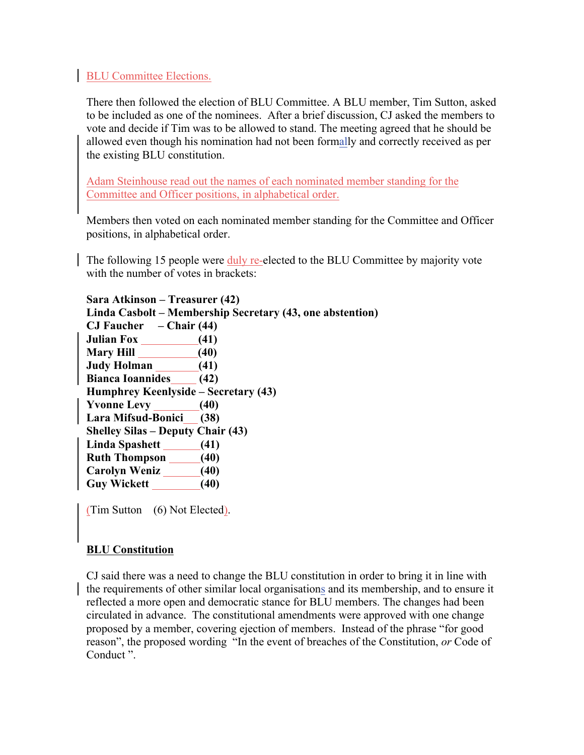#### **BLU Committee Elections.**

There then followed the election of BLU Committee. A BLU member, Tim Sutton, asked to be included as one of the nominees. After a brief discussion, CJ asked the members to vote and decide if Tim was to be allowed to stand. The meeting agreed that he should be allowed even though his nomination had not been formally and correctly received as per the existing BLU constitution.

Adam Steinhouse read out the names of each nominated member standing for the Committee and Officer positions, in alphabetical order.

Members then voted on each nominated member standing for the Committee and Officer positions, in alphabetical order.

The following 15 people were duly re-elected to the BLU Committee by majority vote with the number of votes in brackets:

**Sara Atkinson – Treasurer (42) Linda Casbolt – Membership Secretary (43, one abstention) CJ Faucher – Chair (44) Julian Fox (41) Mary Hill (40) Judy Holman (41) Bianca Ioannides (42) Humphrey Keenlyside – Secretary (43) Yvonne Levy (40) Lara Mifsud-Bonici (38) Shelley Silas – Deputy Chair (43) Linda Spashett (41) Ruth Thompson (40) Carolyn Weniz (40) Guy Wickett (40)**

(Tim Sutton (6) Not Elected).

#### **BLU Constitution**

CJ said there was a need to change the BLU constitution in order to bring it in line with the requirements of other similar local organisations and its membership, and to ensure it reflected a more open and democratic stance for BLU members. The changes had been circulated in advance. The constitutional amendments were approved with one change proposed by a member, covering ejection of members. Instead of the phrase "for good reason", the proposed wording "In the event of breaches of the Constitution, *or* Code of Conduct ".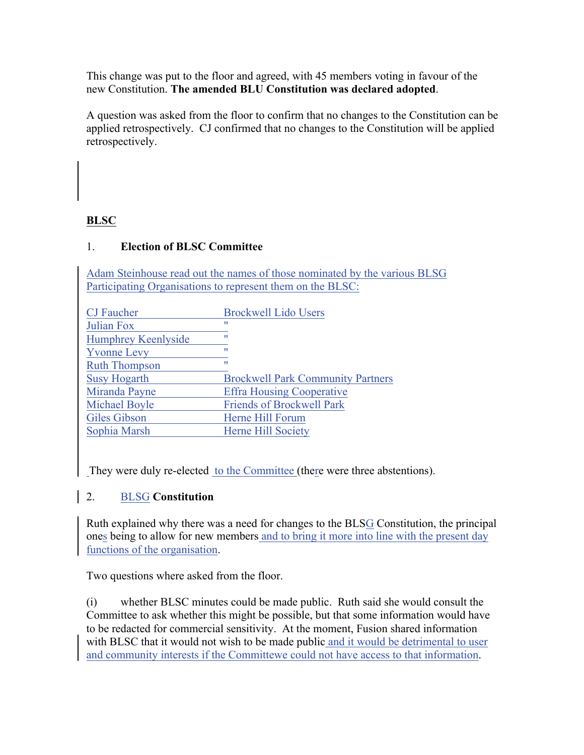This change was put to the floor and agreed, with 45 members voting in favour of the new Constitution. **The amended BLU Constitution was declared adopted**.

A question was asked from the floor to confirm that no changes to the Constitution can be applied retrospectively. CJ confirmed that no changes to the Constitution will be applied retrospectively.

## **BLSC**

## 1. **Election of BLSC Committee**

Adam Steinhouse read out the names of those nominated by the various BLSG Participating Organisations to represent them on the BLSC:

| <b>Brockwell Lido Users</b>              |
|------------------------------------------|
| 11                                       |
| w                                        |
| 11                                       |
| Ħ                                        |
| <b>Brockwell Park Community Partners</b> |
| <b>Effra Housing Cooperative</b>         |
| <b>Friends of Brockwell Park</b>         |
| Herne Hill Forum                         |
| Herne Hill Society                       |
|                                          |

They were duly re-elected to the Committee (there were three abstentions).

## 2. BLSG **Constitution**

Ruth explained why there was a need for changes to the BLSG Constitution, the principal ones being to allow for new members and to bring it more into line with the present day functions of the organisation.

Two questions where asked from the floor.

(i) whether BLSC minutes could be made public. Ruth said she would consult the Committee to ask whether this might be possible, but that some information would have to be redacted for commercial sensitivity. At the moment, Fusion shared information with BLSC that it would not wish to be made public and it would be detrimental to user and community interests if the Committewe could not have access to that information.